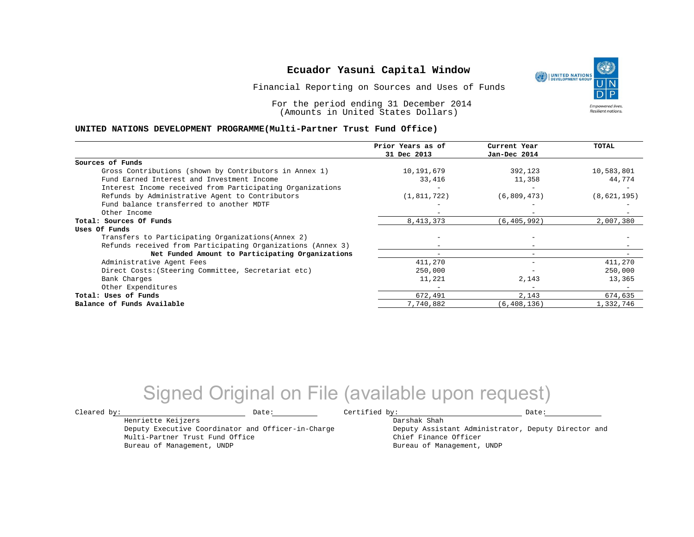## **Ecuador Yasuni Capital Window**

Financial Reporting on Sources and Uses of Funds

For the period ending 31 December 2014 (Amounts in United States Dollars)

#### **UNITED NATIONS DEVELOPMENT PROGRAMME(Multi-Partner Trust Fund Office)**

|                                                             | Prior Years as of        | Current Year             | TOTAL       |
|-------------------------------------------------------------|--------------------------|--------------------------|-------------|
|                                                             | 31 Dec 2013              | Jan-Dec 2014             |             |
| Sources of Funds                                            |                          |                          |             |
| Gross Contributions (shown by Contributors in Annex 1)      | 10,191,679               | 392,123                  | 10,583,801  |
| Fund Earned Interest and Investment Income                  | 33,416                   | 11,358                   | 44,774      |
| Interest Income received from Participating Organizations   |                          |                          |             |
| Refunds by Administrative Agent to Contributors             | (1, 811, 722)            | (6,809,473)              | (8,621,195) |
| Fund balance transferred to another MDTF                    |                          |                          |             |
| Other Income                                                |                          |                          |             |
| Total: Sources Of Funds                                     | 8, 413, 373              | (6, 405, 992)            | 2,007,380   |
| Uses Of Funds                                               |                          |                          |             |
| Transfers to Participating Organizations (Annex 2)          |                          |                          |             |
| Refunds received from Participating Organizations (Annex 3) |                          | $\overline{\phantom{m}}$ |             |
| Net Funded Amount to Participating Organizations            | $\overline{\phantom{a}}$ | $-$                      |             |
| Administrative Agent Fees                                   | 411,270                  |                          | 411,270     |
| Direct Costs: (Steering Committee, Secretariat etc)         | 250,000                  |                          | 250,000     |
| Bank Charges                                                | 11,221                   | 2,143                    | 13,365      |
| Other Expenditures                                          |                          | $\overline{\phantom{m}}$ |             |
| Total: Uses of Funds                                        | 672,491                  | 2,143                    | 674,635     |
| Balance of Funds Available                                  | 7,740,882                | (6, 408, 136)            | 1,332,746   |

## Signed Original on File (available upon request)

Henriette Keijzers

Multi-Partner Trust Fund Office Bureau of Management, UNDP

Deputy Executive Coordinator and Officer-in-Charge

 $\texttt{Cleared by:}\footnotesize \begin{minipage}{0.9\linewidth} \texttt{Date:}\footnotesize \begin{minipage}{0.9\linewidth} \texttt{Date:}\footnotesize \begin{minipage}{0.9\linewidth} \end{minipage} \end{minipage}$ 

Darshak Shah

Deputy Assistant Administrator, Deputy Director and Chief Finance Officer Bureau of Management, UNDP

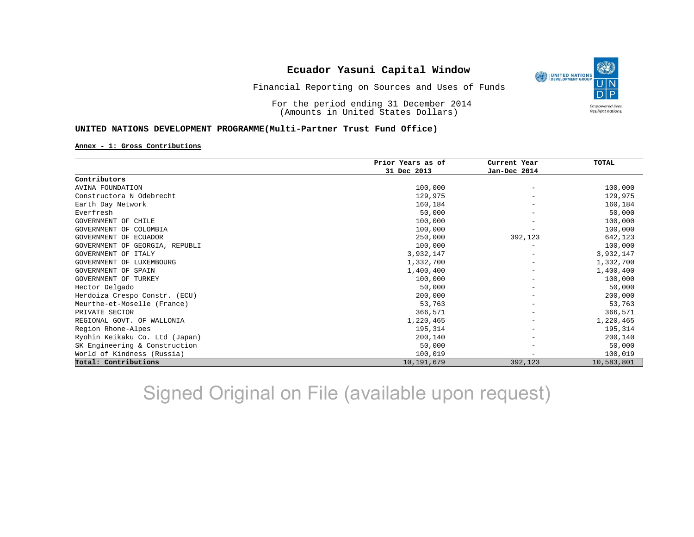## **Ecuador Yasuni Capital Window**



Financial Reporting on Sources and Uses of Funds

For the period ending 31 December 2014 (Amounts in United States Dollars)

#### **UNITED NATIONS DEVELOPMENT PROGRAMME(Multi-Partner Trust Fund Office)**

#### **Annex - 1: Gross Contributions**

|                                | Prior Years as of | Current Year<br>Jan-Dec 2014 | <b>TOTAL</b> |
|--------------------------------|-------------------|------------------------------|--------------|
|                                | 31 Dec 2013       |                              |              |
| Contributors                   |                   |                              |              |
| <b>AVINA FOUNDATION</b>        | 100,000           |                              | 100,000      |
| Constructora N Odebrecht       | 129,975           |                              | 129,975      |
| Earth Day Network              | 160,184           |                              | 160,184      |
| Everfresh                      | 50,000            |                              | 50,000       |
| GOVERNMENT OF CHILE            | 100,000           |                              | 100,000      |
| GOVERNMENT OF COLOMBIA         | 100,000           |                              | 100,000      |
| GOVERNMENT OF ECUADOR          | 250,000           | 392,123                      | 642,123      |
| GOVERNMENT OF GEORGIA, REPUBLI | 100,000           |                              | 100,000      |
| GOVERNMENT OF ITALY            | 3,932,147         |                              | 3,932,147    |
| GOVERNMENT OF LUXEMBOURG       | 1,332,700         |                              | 1,332,700    |
| <b>GOVERNMENT OF SPAIN</b>     | 1,400,400         |                              | 1,400,400    |
| GOVERNMENT OF TURKEY           | 100,000           |                              | 100,000      |
| Hector Delgado                 | 50,000            |                              | 50,000       |
| Herdoiza Crespo Constr. (ECU)  | 200,000           |                              | 200,000      |
| Meurthe-et-Moselle (France)    | 53,763            |                              | 53,763       |
| PRIVATE SECTOR                 | 366,571           |                              | 366,571      |
| REGIONAL GOVT. OF WALLONIA     | 1,220,465         |                              | 1,220,465    |
| Region Rhone-Alpes             | 195,314           |                              | 195,314      |
| Ryohin Keikaku Co. Ltd (Japan) | 200,140           |                              | 200,140      |
| SK Engineering & Construction  | 50,000            |                              | 50,000       |
| World of Kindness (Russia)     | 100,019           |                              | 100,019      |
| Total: Contributions           | 10, 191, 679      | 392,123                      | 10,583,801   |

# Signed Original on File (available upon request)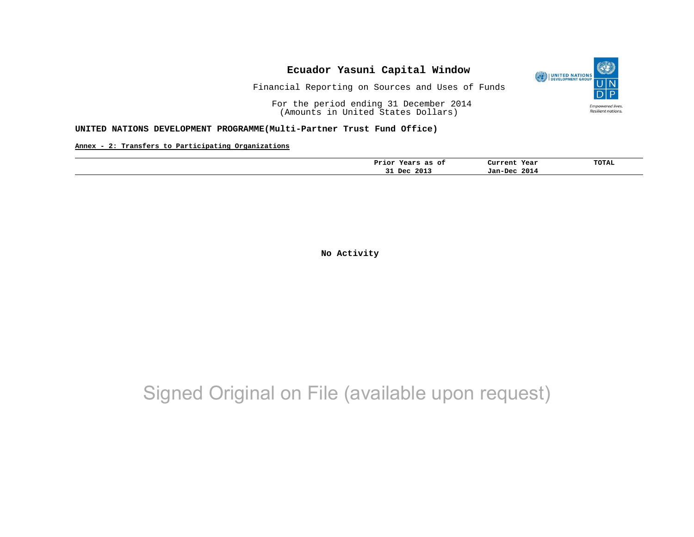### **Ecuador Yasuni Capital Window** UNITED NATIONS Financial Reporting on Sources and Uses of Funds

For the period ending 31 December 2014

(Amounts in United States Dollars)

### **UNITED NATIONS DEVELOPMENT PROGRAMME(Multi-Partner Trust Fund Office)**

**Annex - 2: Transfers to Participating Organizations**

| Prior Years<br>as<br>оf | Current Year    | <b>TOTAL</b> |
|-------------------------|-----------------|--------------|
| 2013<br>Dec<br>--       | 2014<br>Jan-Dec |              |

**No Activity**

## Signed Original on File (available upon request)